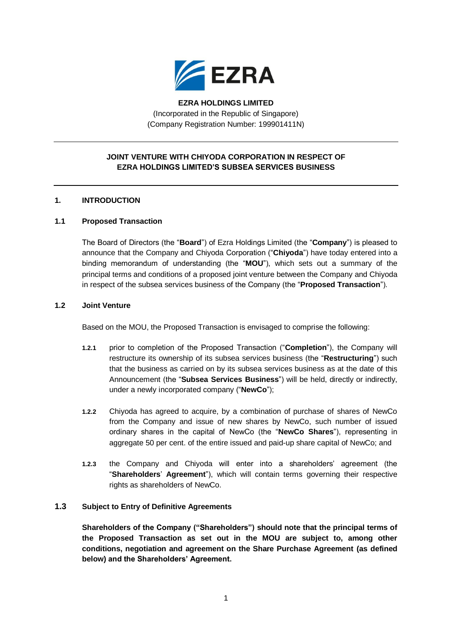

# **EZRA HOLDINGS LIMITED** (Incorporated in the Republic of Singapore) (Company Registration Number: 199901411N)

# **JOINT VENTURE WITH CHIYODA CORPORATION IN RESPECT OF EZRA HOLDINGS LIMITED'S SUBSEA SERVICES BUSINESS**

# **1. INTRODUCTION**

## **1.1 Proposed Transaction**

The Board of Directors (the "**Board**") of Ezra Holdings Limited (the "**Company**") is pleased to announce that the Company and Chiyoda Corporation ("**Chiyoda**") have today entered into a binding memorandum of understanding (the "**MOU**"), which sets out a summary of the principal terms and conditions of a proposed joint venture between the Company and Chiyoda in respect of the subsea services business of the Company (the "**Proposed Transaction**").

### **1.2 Joint Venture**

Based on the MOU, the Proposed Transaction is envisaged to comprise the following:

- **1.2.1** prior to completion of the Proposed Transaction ("**Completion**"), the Company will restructure its ownership of its subsea services business (the "**Restructuring**") such that the business as carried on by its subsea services business as at the date of this Announcement (the "**Subsea Services Business**") will be held, directly or indirectly, under a newly incorporated company ("**NewCo**");
- **1.2.2** Chiyoda has agreed to acquire, by a combination of purchase of shares of NewCo from the Company and issue of new shares by NewCo, such number of issued ordinary shares in the capital of NewCo (the "**NewCo Shares**"), representing in aggregate 50 per cent. of the entire issued and paid-up share capital of NewCo; and
- **1.2.3** the Company and Chiyoda will enter into a shareholders' agreement (the "**Shareholders**' **Agreement**"), which will contain terms governing their respective rights as shareholders of NewCo.

### **1.3 Subject to Entry of Definitive Agreements**

**Shareholders of the Company ("Shareholders") should note that the principal terms of the Proposed Transaction as set out in the MOU are subject to, among other conditions, negotiation and agreement on the Share Purchase Agreement (as defined below) and the Shareholders' Agreement.**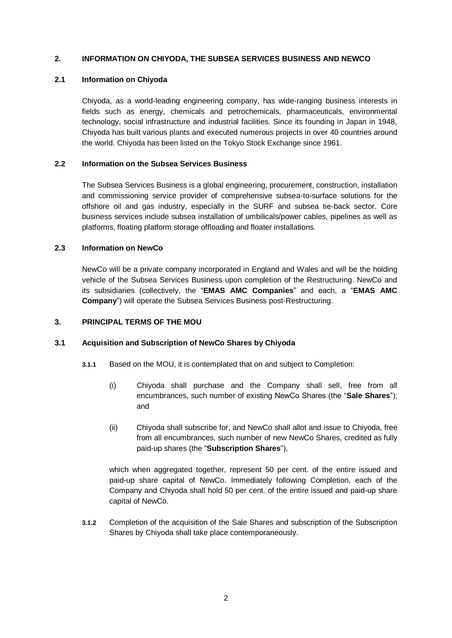## **2. INFORMATION ON CHIYODA, THE SUBSEA SERVICES BUSINESS AND NEWCO**

### **2.1 Information on Chiyoda**

Chiyoda, as a world-leading engineering company, has wide-ranging business interests in fields such as energy, chemicals and petrochemicals, pharmaceuticals, environmental technology, social infrastructure and industrial facilities. Since its founding in Japan in 1948, Chiyoda has built various plants and executed numerous projects in over 40 countries around the world. Chiyoda has been listed on the Tokyo Stock Exchange since 1961.

### **2.2 Information on the Subsea Services Business**

The Subsea Services Business is a global engineering, procurement, construction, installation and commissioning service provider of comprehensive subsea-to-surface solutions for the offshore oil and gas industry, especially in the SURF and subsea tie-back sector. Core business services include subsea installation of umbilicals/power cables, pipelines as well as platforms, floating platform storage offloading and floater installations.

### **2.3 Information on NewCo**

NewCo will be a private company incorporated in England and Wales and will be the holding vehicle of the Subsea Services Business upon completion of the Restructuring. NewCo and its subsidiaries (collectively, the "**EMAS AMC Companies**" and each, a "**EMAS AMC Company**") will operate the Subsea Services Business post-Restructuring.

## **3. PRINCIPAL TERMS OF THE MOU**

### **3.1 Acquisition and Subscription of NewCo Shares by Chiyoda**

- **3.1.1** Based on the MOU, it is contemplated that on and subject to Completion:
	- (i) Chiyoda shall purchase and the Company shall sell, free from all encumbrances, such number of existing NewCo Shares (the "**Sale Shares**"); and
	- (ii) Chiyoda shall subscribe for, and NewCo shall allot and issue to Chiyoda, free from all encumbrances, such number of new NewCo Shares, credited as fully paid-up shares (the "**Subscription Shares**"),

which when aggregated together, represent 50 per cent, of the entire issued and paid-up share capital of NewCo. Immediately following Completion, each of the Company and Chiyoda shall hold 50 per cent. of the entire issued and paid-up share capital of NewCo.

**3.1.2** Completion of the acquisition of the Sale Shares and subscription of the Subscription Shares by Chiyoda shall take place contemporaneously.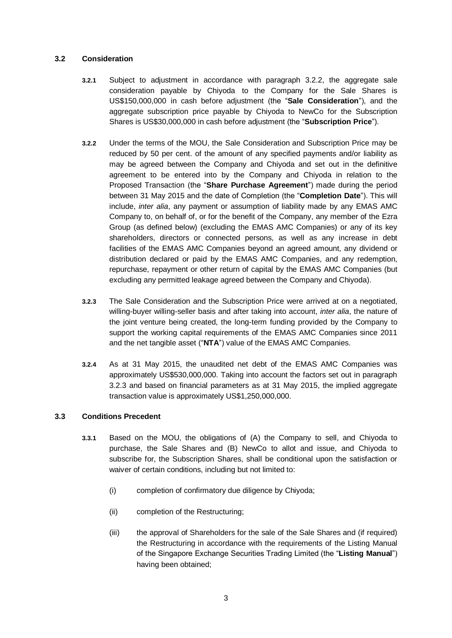## **3.2 Consideration**

- **3.2.1** Subject to adjustment in accordance with paragraph [3.2.2,](#page-2-0) the aggregate sale consideration payable by Chiyoda to the Company for the Sale Shares is US\$150,000,000 in cash before adjustment (the "**Sale Consideration**"), and the aggregate subscription price payable by Chiyoda to NewCo for the Subscription Shares is US\$30,000,000 in cash before adjustment (the "**Subscription Price**").
- <span id="page-2-0"></span>**3.2.2** Under the terms of the MOU, the Sale Consideration and Subscription Price may be reduced by 50 per cent. of the amount of any specified payments and/or liability as may be agreed between the Company and Chiyoda and set out in the definitive agreement to be entered into by the Company and Chiyoda in relation to the Proposed Transaction (the "**Share Purchase Agreement**") made during the period between 31 May 2015 and the date of Completion (the "**Completion Date**"). This will include, *inter alia*, any payment or assumption of liability made by any EMAS AMC Company to, on behalf of, or for the benefit of the Company, any member of the Ezra Group (as defined below) (excluding the EMAS AMC Companies) or any of its key shareholders, directors or connected persons, as well as any increase in debt facilities of the EMAS AMC Companies beyond an agreed amount, any dividend or distribution declared or paid by the EMAS AMC Companies, and any redemption, repurchase, repayment or other return of capital by the EMAS AMC Companies (but excluding any permitted leakage agreed between the Company and Chiyoda).
- <span id="page-2-1"></span>**3.2.3** The Sale Consideration and the Subscription Price were arrived at on a negotiated, willing-buyer willing-seller basis and after taking into account, *inter alia*, the nature of the joint venture being created, the long-term funding provided by the Company to support the working capital requirements of the EMAS AMC Companies since 2011 and the net tangible asset ("**NTA**") value of the EMAS AMC Companies.
- **3.2.4** As at 31 May 2015, the unaudited net debt of the EMAS AMC Companies was approximately US\$530,000,000. Taking into account the factors set out in paragraph [3.2.3](#page-2-1) and based on financial parameters as at 31 May 2015, the implied aggregate transaction value is approximately US\$1,250,000,000.

### **3.3 Conditions Precedent**

- **3.3.1** Based on the MOU, the obligations of (A) the Company to sell, and Chiyoda to purchase, the Sale Shares and (B) NewCo to allot and issue, and Chiyoda to subscribe for, the Subscription Shares, shall be conditional upon the satisfaction or waiver of certain conditions, including but not limited to:
	- (i) completion of confirmatory due diligence by Chiyoda;
	- (ii) completion of the Restructuring;
	- (iii) the approval of Shareholders for the sale of the Sale Shares and (if required) the Restructuring in accordance with the requirements of the Listing Manual of the Singapore Exchange Securities Trading Limited (the "**Listing Manual**") having been obtained;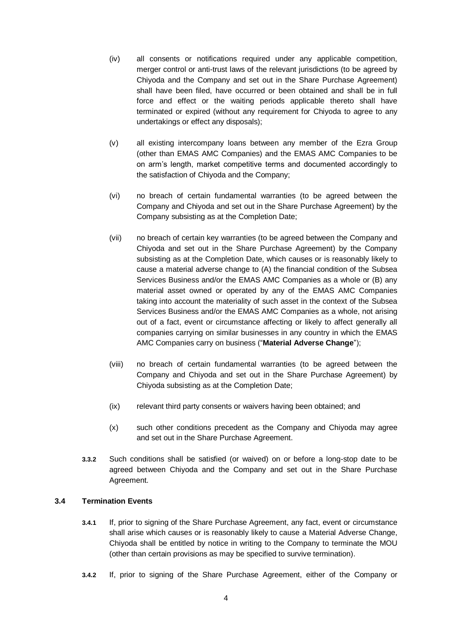- (iv) all consents or notifications required under any applicable competition, merger control or anti-trust laws of the relevant jurisdictions (to be agreed by Chiyoda and the Company and set out in the Share Purchase Agreement) shall have been filed, have occurred or been obtained and shall be in full force and effect or the waiting periods applicable thereto shall have terminated or expired (without any requirement for Chiyoda to agree to any undertakings or effect any disposals);
- (v) all existing intercompany loans between any member of the Ezra Group (other than EMAS AMC Companies) and the EMAS AMC Companies to be on arm's length, market competitive terms and documented accordingly to the satisfaction of Chiyoda and the Company;
- (vi) no breach of certain fundamental warranties (to be agreed between the Company and Chiyoda and set out in the Share Purchase Agreement) by the Company subsisting as at the Completion Date;
- (vii) no breach of certain key warranties (to be agreed between the Company and Chiyoda and set out in the Share Purchase Agreement) by the Company subsisting as at the Completion Date, which causes or is reasonably likely to cause a material adverse change to (A) the financial condition of the Subsea Services Business and/or the EMAS AMC Companies as a whole or (B) any material asset owned or operated by any of the EMAS AMC Companies taking into account the materiality of such asset in the context of the Subsea Services Business and/or the EMAS AMC Companies as a whole, not arising out of a fact, event or circumstance affecting or likely to affect generally all companies carrying on similar businesses in any country in which the EMAS AMC Companies carry on business ("**Material Adverse Change**");
- (viii) no breach of certain fundamental warranties (to be agreed between the Company and Chiyoda and set out in the Share Purchase Agreement) by Chiyoda subsisting as at the Completion Date;
- (ix) relevant third party consents or waivers having been obtained; and
- (x) such other conditions precedent as the Company and Chiyoda may agree and set out in the Share Purchase Agreement.
- **3.3.2** Such conditions shall be satisfied (or waived) on or before a long-stop date to be agreed between Chiyoda and the Company and set out in the Share Purchase Agreement.

### **3.4 Termination Events**

- **3.4.1** If, prior to signing of the Share Purchase Agreement, any fact, event or circumstance shall arise which causes or is reasonably likely to cause a Material Adverse Change, Chiyoda shall be entitled by notice in writing to the Company to terminate the MOU (other than certain provisions as may be specified to survive termination).
- **3.4.2** If, prior to signing of the Share Purchase Agreement, either of the Company or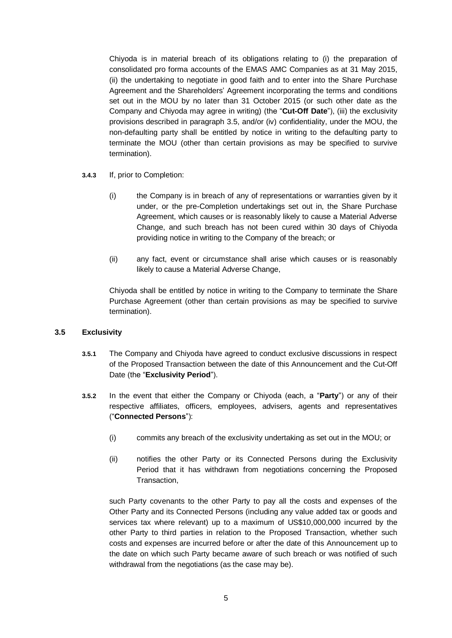Chiyoda is in material breach of its obligations relating to (i) the preparation of consolidated pro forma accounts of the EMAS AMC Companies as at 31 May 2015, (ii) the undertaking to negotiate in good faith and to enter into the Share Purchase Agreement and the Shareholders' Agreement incorporating the terms and conditions set out in the MOU by no later than 31 October 2015 (or such other date as the Company and Chiyoda may agree in writing) (the "**Cut-Off Date**"), (iii) the exclusivity provisions described in paragraph [3.5,](#page-4-0) and/or (iv) confidentiality, under the MOU, the non-defaulting party shall be entitled by notice in writing to the defaulting party to terminate the MOU (other than certain provisions as may be specified to survive termination).

- **3.4.3** If, prior to Completion:
	- (i) the Company is in breach of any of representations or warranties given by it under, or the pre-Completion undertakings set out in, the Share Purchase Agreement, which causes or is reasonably likely to cause a Material Adverse Change, and such breach has not been cured within 30 days of Chiyoda providing notice in writing to the Company of the breach; or
	- (ii) any fact, event or circumstance shall arise which causes or is reasonably likely to cause a Material Adverse Change,

Chiyoda shall be entitled by notice in writing to the Company to terminate the Share Purchase Agreement (other than certain provisions as may be specified to survive termination).

### <span id="page-4-0"></span>**3.5 Exclusivity**

- **3.5.1** The Company and Chiyoda have agreed to conduct exclusive discussions in respect of the Proposed Transaction between the date of this Announcement and the Cut-Off Date (the "**Exclusivity Period**").
- **3.5.2** In the event that either the Company or Chiyoda (each, a "**Party**") or any of their respective affiliates, officers, employees, advisers, agents and representatives ("**Connected Persons**"):
	- (i) commits any breach of the exclusivity undertaking as set out in the MOU; or
	- (ii) notifies the other Party or its Connected Persons during the Exclusivity Period that it has withdrawn from negotiations concerning the Proposed Transaction,

such Party covenants to the other Party to pay all the costs and expenses of the Other Party and its Connected Persons (including any value added tax or goods and services tax where relevant) up to a maximum of US\$10,000,000 incurred by the other Party to third parties in relation to the Proposed Transaction, whether such costs and expenses are incurred before or after the date of this Announcement up to the date on which such Party became aware of such breach or was notified of such withdrawal from the negotiations (as the case may be).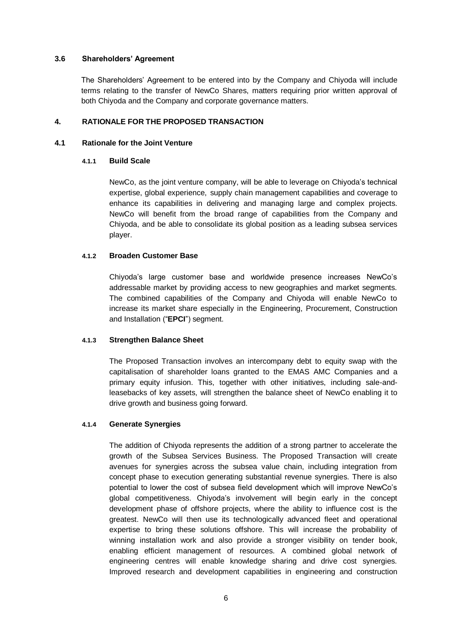### **3.6 Shareholders' Agreement**

The Shareholders' Agreement to be entered into by the Company and Chiyoda will include terms relating to the transfer of NewCo Shares, matters requiring prior written approval of both Chiyoda and the Company and corporate governance matters.

### **4. RATIONALE FOR THE PROPOSED TRANSACTION**

#### **4.1 Rationale for the Joint Venture**

#### **4.1.1 Build Scale**

NewCo, as the joint venture company, will be able to leverage on Chiyoda's technical expertise, global experience, supply chain management capabilities and coverage to enhance its capabilities in delivering and managing large and complex projects. NewCo will benefit from the broad range of capabilities from the Company and Chiyoda, and be able to consolidate its global position as a leading subsea services player.

#### **4.1.2 Broaden Customer Base**

Chiyoda's large customer base and worldwide presence increases NewCo's addressable market by providing access to new geographies and market segments. The combined capabilities of the Company and Chiyoda will enable NewCo to increase its market share especially in the Engineering, Procurement, Construction and Installation ("**EPCI**") segment.

### **4.1.3 Strengthen Balance Sheet**

The Proposed Transaction involves an intercompany debt to equity swap with the capitalisation of shareholder loans granted to the EMAS AMC Companies and a primary equity infusion. This, together with other initiatives, including sale-andleasebacks of key assets, will strengthen the balance sheet of NewCo enabling it to drive growth and business going forward.

### **4.1.4 Generate Synergies**

The addition of Chiyoda represents the addition of a strong partner to accelerate the growth of the Subsea Services Business. The Proposed Transaction will create avenues for synergies across the subsea value chain, including integration from concept phase to execution generating substantial revenue synergies. There is also potential to lower the cost of subsea field development which will improve NewCo's global competitiveness. Chiyoda's involvement will begin early in the concept development phase of offshore projects, where the ability to influence cost is the greatest. NewCo will then use its technologically advanced fleet and operational expertise to bring these solutions offshore. This will increase the probability of winning installation work and also provide a stronger visibility on tender book, enabling efficient management of resources. A combined global network of engineering centres will enable knowledge sharing and drive cost synergies. Improved research and development capabilities in engineering and construction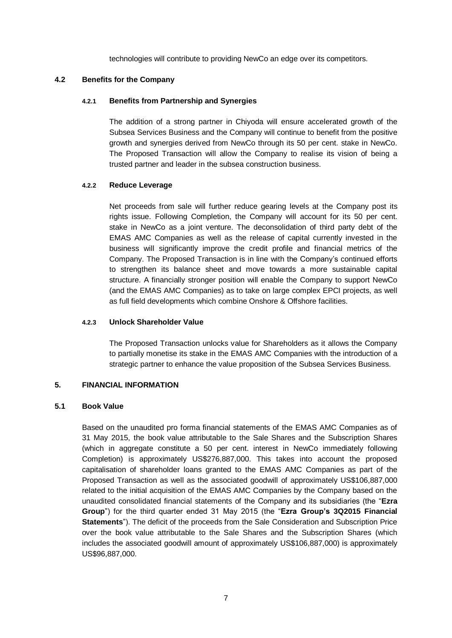technologies will contribute to providing NewCo an edge over its competitors.

### **4.2 Benefits for the Company**

#### **4.2.1 Benefits from Partnership and Synergies**

The addition of a strong partner in Chiyoda will ensure accelerated growth of the Subsea Services Business and the Company will continue to benefit from the positive growth and synergies derived from NewCo through its 50 per cent. stake in NewCo. The Proposed Transaction will allow the Company to realise its vision of being a trusted partner and leader in the subsea construction business.

#### **4.2.2 Reduce Leverage**

Net proceeds from sale will further reduce gearing levels at the Company post its rights issue. Following Completion, the Company will account for its 50 per cent. stake in NewCo as a joint venture. The deconsolidation of third party debt of the EMAS AMC Companies as well as the release of capital currently invested in the business will significantly improve the credit profile and financial metrics of the Company. The Proposed Transaction is in line with the Company's continued efforts to strengthen its balance sheet and move towards a more sustainable capital structure. A financially stronger position will enable the Company to support NewCo (and the EMAS AMC Companies) as to take on large complex EPCI projects, as well as full field developments which combine Onshore & Offshore facilities.

## **4.2.3 Unlock Shareholder Value**

The Proposed Transaction unlocks value for Shareholders as it allows the Company to partially monetise its stake in the EMAS AMC Companies with the introduction of a strategic partner to enhance the value proposition of the Subsea Services Business.

### **5. FINANCIAL INFORMATION**

#### **5.1 Book Value**

Based on the unaudited pro forma financial statements of the EMAS AMC Companies as of 31 May 2015, the book value attributable to the Sale Shares and the Subscription Shares (which in aggregate constitute a 50 per cent. interest in NewCo immediately following Completion) is approximately US\$276,887,000. This takes into account the proposed capitalisation of shareholder loans granted to the EMAS AMC Companies as part of the Proposed Transaction as well as the associated goodwill of approximately US\$106,887,000 related to the initial acquisition of the EMAS AMC Companies by the Company based on the unaudited consolidated financial statements of the Company and its subsidiaries (the "**Ezra Group**") for the third quarter ended 31 May 2015 (the "**Ezra Group's 3Q2015 Financial Statements**"). The deficit of the proceeds from the Sale Consideration and Subscription Price over the book value attributable to the Sale Shares and the Subscription Shares (which includes the associated goodwill amount of approximately US\$106,887,000) is approximately US\$96,887,000.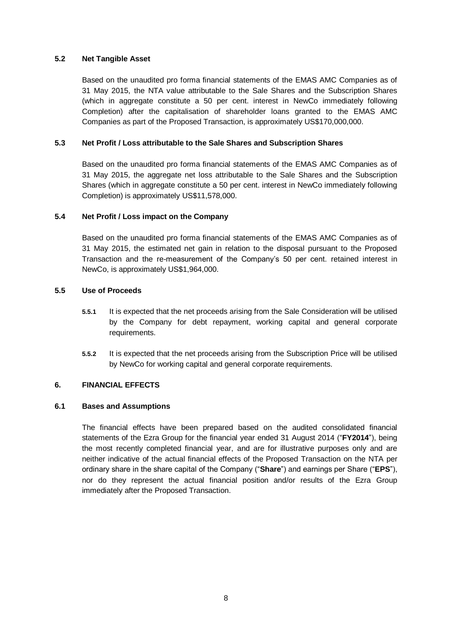## **5.2 Net Tangible Asset**

Based on the unaudited pro forma financial statements of the EMAS AMC Companies as of 31 May 2015, the NTA value attributable to the Sale Shares and the Subscription Shares (which in aggregate constitute a 50 per cent. interest in NewCo immediately following Completion) after the capitalisation of shareholder loans granted to the EMAS AMC Companies as part of the Proposed Transaction, is approximately US\$170,000,000.

## **5.3 Net Profit / Loss attributable to the Sale Shares and Subscription Shares**

Based on the unaudited pro forma financial statements of the EMAS AMC Companies as of 31 May 2015, the aggregate net loss attributable to the Sale Shares and the Subscription Shares (which in aggregate constitute a 50 per cent. interest in NewCo immediately following Completion) is approximately US\$11,578,000.

### **5.4 Net Profit / Loss impact on the Company**

Based on the unaudited pro forma financial statements of the EMAS AMC Companies as of 31 May 2015, the estimated net gain in relation to the disposal pursuant to the Proposed Transaction and the re-measurement of the Company's 50 per cent. retained interest in NewCo, is approximately US\$1,964,000.

### **5.5 Use of Proceeds**

- **5.5.1** It is expected that the net proceeds arising from the Sale Consideration will be utilised by the Company for debt repayment, working capital and general corporate requirements.
- **5.5.2** It is expected that the net proceeds arising from the Subscription Price will be utilised by NewCo for working capital and general corporate requirements.

### **6. FINANCIAL EFFECTS**

### **6.1 Bases and Assumptions**

The financial effects have been prepared based on the audited consolidated financial statements of the Ezra Group for the financial year ended 31 August 2014 ("**FY2014**"), being the most recently completed financial year, and are for illustrative purposes only and are neither indicative of the actual financial effects of the Proposed Transaction on the NTA per ordinary share in the share capital of the Company ("**Share**") and earnings per Share ("**EPS**"), nor do they represent the actual financial position and/or results of the Ezra Group immediately after the Proposed Transaction.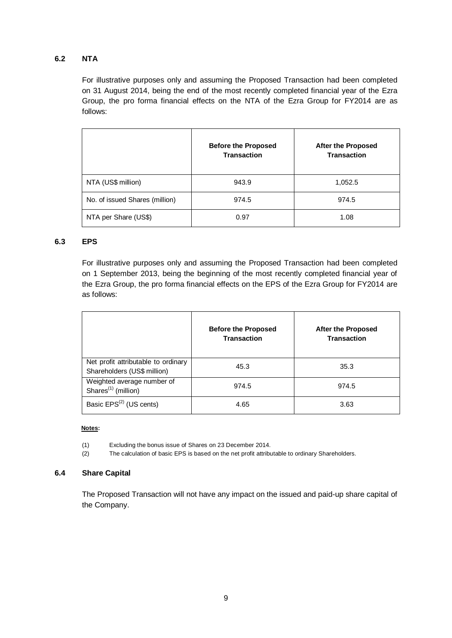# **6.2 NTA**

For illustrative purposes only and assuming the Proposed Transaction had been completed on 31 August 2014, being the end of the most recently completed financial year of the Ezra Group, the pro forma financial effects on the NTA of the Ezra Group for FY2014 are as follows:

|                                | <b>Before the Proposed</b><br><b>Transaction</b> | <b>After the Proposed</b><br><b>Transaction</b> |  |
|--------------------------------|--------------------------------------------------|-------------------------------------------------|--|
| NTA (US\$ million)             | 943.9                                            | 1,052.5                                         |  |
| No. of issued Shares (million) | 974.5                                            | 974.5<br>1.08                                   |  |
| NTA per Share (US\$)           | 0.97                                             |                                                 |  |

## **6.3 EPS**

For illustrative purposes only and assuming the Proposed Transaction had been completed on 1 September 2013, being the beginning of the most recently completed financial year of the Ezra Group, the pro forma financial effects on the EPS of the Ezra Group for FY2014 are as follows:

|                                                                    | <b>Before the Proposed</b><br><b>Transaction</b> | <b>After the Proposed</b><br><b>Transaction</b> |
|--------------------------------------------------------------------|--------------------------------------------------|-------------------------------------------------|
| Net profit attributable to ordinary<br>Shareholders (US\$ million) | 45.3                                             | 35.3                                            |
| Weighted average number of<br>Shares <sup>(1)</sup> (million)      | 974.5                                            | 974.5                                           |
| Basic EPS <sup>(2)</sup> (US cents)                                | 4.65                                             | 3.63                                            |

#### **Notes:**

- (1) Excluding the bonus issue of Shares on 23 December 2014.
- (2) The calculation of basic EPS is based on the net profit attributable to ordinary Shareholders.

### **6.4 Share Capital**

The Proposed Transaction will not have any impact on the issued and paid-up share capital of the Company.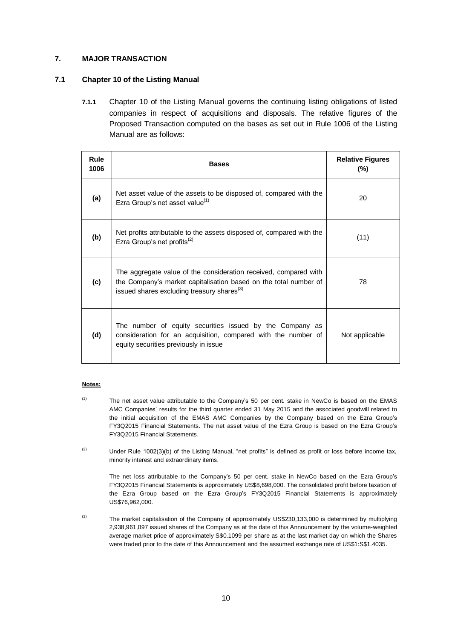## **7. MAJOR TRANSACTION**

## **7.1 Chapter 10 of the Listing Manual**

**7.1.1** Chapter 10 of the Listing Manual governs the continuing listing obligations of listed companies in respect of acquisitions and disposals. The relative figures of the Proposed Transaction computed on the bases as set out in Rule 1006 of the Listing Manual are as follows:

| Rule<br>1006 | <b>Bases</b>                                                                                                                                                                                   | <b>Relative Figures</b><br>$(\% )$ |
|--------------|------------------------------------------------------------------------------------------------------------------------------------------------------------------------------------------------|------------------------------------|
| (a)          | Net asset value of the assets to be disposed of, compared with the<br>Ezra Group's net asset value <sup>(1)</sup>                                                                              | 20                                 |
| (b)          | Net profits attributable to the assets disposed of, compared with the<br>Ezra Group's net profits <sup>(2)</sup>                                                                               | (11)                               |
| (c)          | The aggregate value of the consideration received, compared with<br>the Company's market capitalisation based on the total number of<br>issued shares excluding treasury shares <sup>(3)</sup> | 78                                 |
| (d)          | The number of equity securities issued by the Company as<br>consideration for an acquisition, compared with the number of<br>equity securities previously in issue                             | Not applicable                     |

#### **Notes:**

- $(1)$  The net asset value attributable to the Company's 50 per cent. stake in NewCo is based on the EMAS AMC Companies' results for the third quarter ended 31 May 2015 and the associated goodwill related to the initial acquisition of the EMAS AMC Companies by the Company based on the Ezra Group's FY3Q2015 Financial Statements. The net asset value of the Ezra Group is based on the Ezra Group's FY3Q2015 Financial Statements.
- <sup>(2)</sup> Under Rule 1002(3)(b) of the Listing Manual, "net profits" is defined as profit or loss before income tax, minority interest and extraordinary items.

The net loss attributable to the Company's 50 per cent. stake in NewCo based on the Ezra Group's FY3Q2015 Financial Statements is approximately US\$8,698,000. The consolidated profit before taxation of the Ezra Group based on the Ezra Group's FY3Q2015 Financial Statements is approximately US\$76,962,000.

 $(3)$  The market capitalisation of the Company of approximately US\$230,133,000 is determined by multiplying 2,938,961,097 issued shares of the Company as at the date of this Announcement by the volume-weighted average market price of approximately S\$0.1099 per share as at the last market day on which the Shares were traded prior to the date of this Announcement and the assumed exchange rate of US\$1:S\$1.4035.